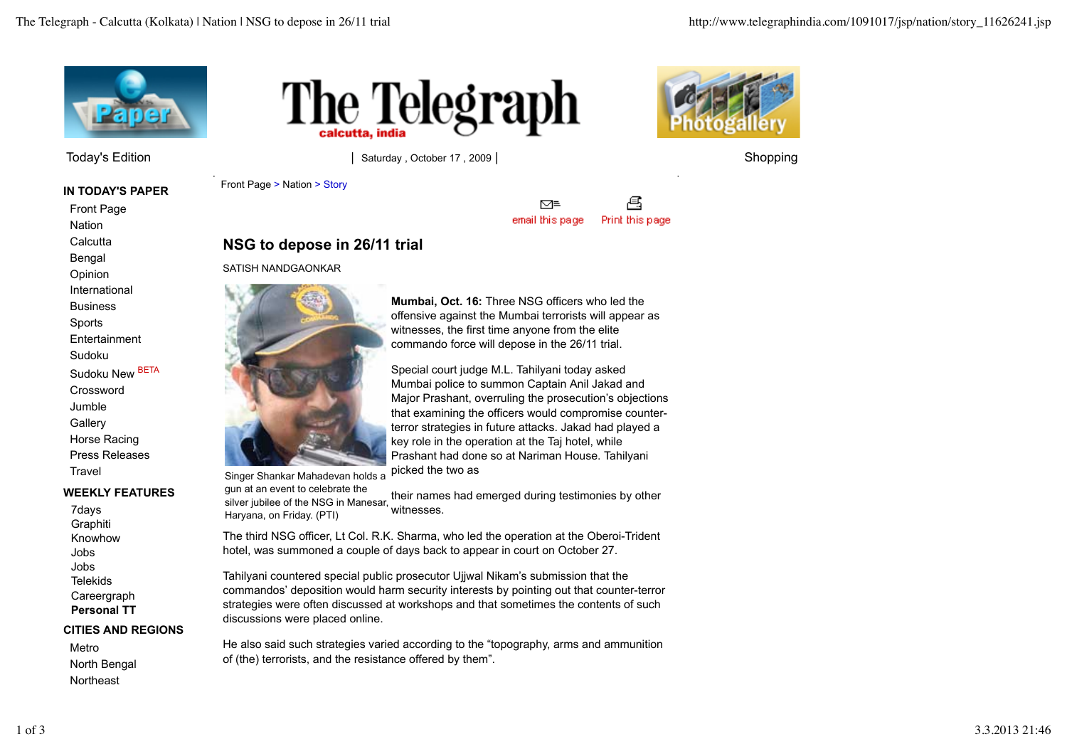

Today's Edition **by Equal Control Control** Saturday , October 17 , 2009 | Shopping Shopping

**IN TODAY'S PAPER**

Front Page **Nation Calcutta** 

Bengal

Opinion International

**Business** 

Sports

**Entertainment** 

Sudoku

Sudoku New BETA

Crossword Jumble **Gallery** 

Horse Racing Press Releases **Travel** 

### **WEEKLY FEATURES**

7days **Graphiti** Knowhow Jobs Jobs Telekids Careergraph **Personal TT**

#### **CITIES AND REGIONS**

Metro North Bengal **Northeast** 





Front Page > Nation > Story

乌 ⊠≡ email this page Print this page

## **NSG to depose in 26/11 trial**

#### SATISH NANDGAONKAR



Singer Shankar Mahadevan holds a

gun at an event to celebrate the silver jubilee of the NSG in Manesar. Haryana, on Friday. (PTI) their names had emerged during testimonies by other witnesses.

The third NSG officer, Lt Col. R.K. Sharma, who led the operation at the Oberoi-Trident hotel, was summoned a couple of days back to appear in court on October 27.

Tahilyani countered special public prosecutor Ujjwal Nikam's submission that the commandos' deposition would harm security interests by pointing out that counter-terror strategies were often discussed at workshops and that sometimes the contents of such discussions were placed online.

He also said such strategies varied according to the "topography, arms and ammunition of (the) terrorists, and the resistance offered by them".